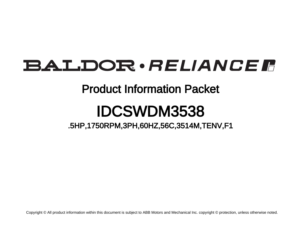# BALDOR · RELIANCE F

## Product Information Packet

# IDCSWDM3538

.5HP,1750RPM,3PH,60HZ,56C,3514M,TENV,F1

Copyright © All product information within this document is subject to ABB Motors and Mechanical Inc. copyright © protection, unless otherwise noted.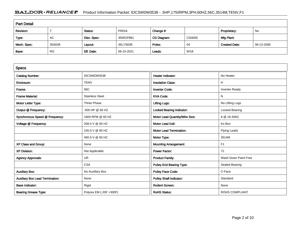### BALDOR · RELIANCE F Product Information Packet: IDCSWDM3538 - .5HP,1750RPM,3PH,60HZ,56C,3514M,TENV,F1

| <b>Part Detail</b> |           |             |            |             |        |                      |            |  |  |
|--------------------|-----------|-------------|------------|-------------|--------|----------------------|------------|--|--|
| Revision:          |           | Status:     | PRD/A      | Change #:   |        | Proprietary:         | No         |  |  |
| Type:              | AC        | Elec. Spec: | 35WGP881   | CD Diagram: | CD0005 | Mfg Plant:           |            |  |  |
| Mech. Spec:        | 35S638    | Layout:     | 35LYS638   | Poles:      | 04     | <b>Created Date:</b> | 06-13-2008 |  |  |
| Base:              | <b>RG</b> | Eff. Date:  | 06-10-2021 | Leads:      | 9#18   |                      |            |  |  |

| <b>Specs</b>                           |                         |                                  |                       |
|----------------------------------------|-------------------------|----------------------------------|-----------------------|
| <b>Catalog Number:</b>                 | IDCSWDM3538             | <b>Heater Indicator:</b>         | No Heater             |
| Enclosure:                             | <b>TENV</b>             | <b>Insulation Class:</b>         | н                     |
| Frame:                                 | 56C                     | <b>Inverter Code:</b>            | <b>Inverter Ready</b> |
| <b>Frame Material:</b>                 | <b>Stainless Steel</b>  | <b>KVA Code:</b>                 | N                     |
| Motor Letter Type:                     | Three Phase             | <b>Lifting Lugs:</b>             | No Lifting Lugs       |
| Output @ Frequency:                    | .500 HP @ 60 HZ         | <b>Locked Bearing Indicator:</b> | Locked Bearing        |
| Synchronous Speed @ Frequency:         | 1800 RPM @ 60 HZ        | Motor Lead Quantity/Wire Size:   | 9 @ 18 AWG            |
| Voltage @ Frequency:                   | 208.0 V @ 60 HZ         | <b>Motor Lead Exit:</b>          | Ko Box                |
|                                        | 230.0 V @ 60 HZ         | <b>Motor Lead Termination:</b>   | <b>Flying Leads</b>   |
|                                        | 460.0 V @ 60 HZ         | Motor Type:                      | 3514M                 |
| XP Class and Group:                    | None                    | <b>Mounting Arrangement:</b>     | F <sub>1</sub>        |
| <b>XP Division:</b>                    | Not Applicable          | <b>Power Factor:</b>             | 72                    |
| <b>Agency Approvals:</b>               | UR                      | <b>Product Family:</b>           | Wash Down Paint Free  |
|                                        | <b>CSA</b>              | <b>Pulley End Bearing Type:</b>  | Sealed Bearing        |
| <b>Auxillary Box:</b>                  | No Auxillary Box        | <b>Pulley Face Code:</b>         | C-Face                |
| <b>Auxillary Box Lead Termination:</b> | None                    | <b>Pulley Shaft Indicator:</b>   | Standard              |
| <b>Base Indicator:</b>                 | Rigid                   | <b>Rodent Screen:</b>            | None                  |
| <b>Bearing Grease Type:</b>            | Polyrex EM (-20F +300F) | <b>RoHS Status:</b>              | <b>ROHS COMPLIANT</b> |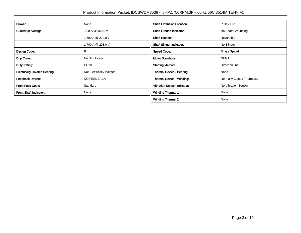| Blower:                               | None                      | <b>Shaft Extension Location:</b>   | <b>Pulley End</b>          |
|---------------------------------------|---------------------------|------------------------------------|----------------------------|
| Current @ Voltage:                    | .800 A @ 460.0 V          | <b>Shaft Ground Indicator:</b>     | No Shaft Grounding         |
|                                       | 1.600 A @ 230.0 V         | <b>Shaft Rotation:</b>             | Reversible                 |
|                                       | 1.700 A @ 208.0 V         | <b>Shaft Slinger Indicator:</b>    | No Slinger                 |
| Design Code:                          | в                         | <b>Speed Code:</b>                 | Single Speed               |
| Drip Cover:                           | No Drip Cover             | <b>Motor Standards:</b>            | <b>NEMA</b>                |
| Duty Rating:                          | <b>CONT</b>               | <b>Starting Method:</b>            | Direct on line             |
| <b>Electrically Isolated Bearing:</b> | Not Electrically Isolated | <b>Thermal Device - Bearing:</b>   | None                       |
| <b>Feedback Device:</b>               | NO FEEDBACK               | <b>Thermal Device - Winding:</b>   | Normally Closed Thermostat |
| <b>Front Face Code:</b>               | Standard                  | <b>Vibration Sensor Indicator:</b> | No Vibration Sensor        |
| <b>Front Shaft Indicator:</b>         | None                      | <b>Winding Thermal 1:</b>          | None                       |
|                                       |                           | <b>Winding Thermal 2:</b>          | None                       |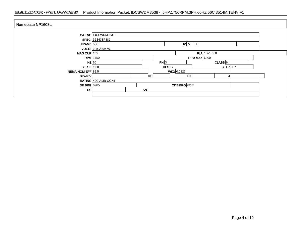### BALDOR · RELIANCE F Product Information Packet: IDCSWDM3538 - .5HP,1750RPM,3PH,60HZ,56C,3514M,TENV,F1

| Nameplate NP1608L  |                           |                     |                                   |                  |             |   |  |
|--------------------|---------------------------|---------------------|-----------------------------------|------------------|-------------|---|--|
|                    | <b>CAT NO IDCSWDM3538</b> |                     |                                   |                  |             |   |  |
|                    | SPEC. 35S638P881          |                     |                                   |                  |             |   |  |
| $FRAME$ 56C        |                           |                     |                                   | $HP$ .5 TE       |             |   |  |
|                    | VOLTS 208-230/460         |                     |                                   |                  |             |   |  |
| MAG CUR $1/5$      |                           |                     |                                   | $FLA$ 1.7-1.6/.8 |             |   |  |
|                    | $RPM$ 1750                | RPM MAX $6000$      |                                   |                  |             |   |  |
| HZ 60              |                           |                     | PH 3                              |                  | $CLASS$ $H$ |   |  |
| SER.F. 1.00        |                           |                     | $DES$ <sub>B</sub><br>SLHZ $ 1.7$ |                  |             |   |  |
| NEMA-NOM-EFF 82.5  |                           |                     | WK2 0.0827                        |                  |             |   |  |
| <b>BLWR V</b>      | PH                        |                     |                                   | HZ               |             | A |  |
|                    | RATING 40C AMB-CONT       |                     |                                   |                  |             |   |  |
| <b>DE BRG</b> 6205 |                           | <b>ODE BRG</b> 6203 |                                   |                  |             |   |  |
| CC                 |                           | <b>SN</b>           |                                   |                  |             |   |  |
|                    |                           |                     |                                   |                  |             |   |  |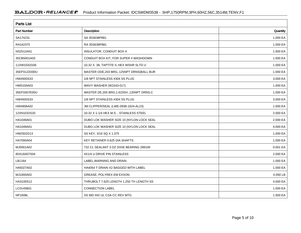| <b>Parts List</b>  |                                              |          |  |  |  |  |
|--------------------|----------------------------------------------|----------|--|--|--|--|
| <b>Part Number</b> | Description                                  | Quantity |  |  |  |  |
| SA174231           | SA 35S638P881                                | 1.000 EA |  |  |  |  |
| RA162375           | RA 35S638P881                                | 1.000 EA |  |  |  |  |
| NS2512A01          | <b>INSULATOR, CONDUIT BOX X</b>              | 1.000 EA |  |  |  |  |
| 35CB5001A03        | CONDUIT BOX KIT, FOR SUPER II WASHDOWN       | 1.000 EA |  |  |  |  |
| 11XW1032G06        | 10-32 X .38, TAPTITE II, HEX WSHR SLTD U     | 1.000 EA |  |  |  |  |
| 35EP3122D00U       | MASTER ODE, 203 BRG, 125NPT DRNS(BALL BUR    | 1.000 EA |  |  |  |  |
| HW4500S33          | 1/8 NPT STAINLESS #304 SS PLUG               | 3.000 EA |  |  |  |  |
| HW5100A03          | WAVY WASHER (W1543-017)                      | 1.000 EA |  |  |  |  |
| 35EP3307E00U       | MASTER DE, 205 BRG, 1.623SH, .125NPT DRNS, C | 1.000 EA |  |  |  |  |
| HW4500S33          | 1/8 NPT STAINLESS #304 SS PLUG               | 3.000 EA |  |  |  |  |
| HW4606A02          | JM CLIPPER/SEAL (LWE-0938-1624-AL23)         | 1.000 EA |  |  |  |  |
| 12XN1032S20        | 10-32 X 1-1/4 HEX M.S., STAINLESS STEEL      | 2.000 EA |  |  |  |  |
| HA1049A01          | DUBO LOK WASHER SIZE 10 (NYLON LOCK SEAL     | 2.000 EA |  |  |  |  |
| HA1049A01          | DUBO LOK WASHER SIZE 10 (NYLON LOCK SEAL     | 4.000 EA |  |  |  |  |
| HW2502D13          | SS KEY, 3/16 SQ X 1.375                      | 1.000 EA |  |  |  |  |
| HA7000A04          | KEY RETAINER 0.625 DIA SHAFTS                | 1.000 EA |  |  |  |  |
| MJ5001A02          | 732 CL SEALANT 3 OZ DIXIE BEARING 289100     | 0.001 EA |  |  |  |  |
| 85XU0407S04        | 4X1/4 U DRIVE PIN STAINLESS                  | 2.000 EA |  |  |  |  |
| LB1164             | LABEL, WARNING AND DRAIN                     | 1.000 EA |  |  |  |  |
| HA5027A02          | HA4054 T-DRAIN X2 BAGGED WITH LABEL          | 1.000 EA |  |  |  |  |
| MJ1000A02          | GREASE, POLYREX EM EXXON                     | 0.050 LB |  |  |  |  |
| HA3100S12          | THRUBOLT 7.625 LENGTH 1.250 TH LENGTH SS     | 4.000 EA |  |  |  |  |
| LC0145B01          | <b>CONNECTION LABEL</b>                      | 1.000 EA |  |  |  |  |
| <b>NP1608L</b>     | SS WD INV UL CSA CC REV MTG                  | 1.000 EA |  |  |  |  |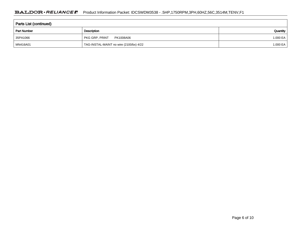| Parts List (continued) |                                         |          |  |  |  |  |
|------------------------|-----------------------------------------|----------|--|--|--|--|
| <b>Part Number</b>     | Description                             | Quantity |  |  |  |  |
| 35PA1066               | PKG GRP, PRINT<br>PK1008A06             | 1.000 EA |  |  |  |  |
| MN416A01               | TAG-INSTAL-MAINT no wire (2100/bx) 4/22 | 1.000 EA |  |  |  |  |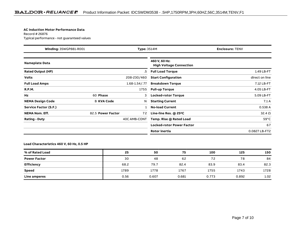#### **AC Induction Motor Performance Data**

Record # 26876Typical performance - not guaranteed values

| <b>Winding: 35WGP881-R001</b> |                   | <b>Type: 3514M</b>  |                                                 | <b>Enclosure: TENV</b> |
|-------------------------------|-------------------|---------------------|-------------------------------------------------|------------------------|
| <b>Nameplate Data</b>         |                   |                     | 460 V, 60 Hz:<br><b>High Voltage Connection</b> |                        |
| <b>Rated Output (HP)</b>      |                   | .5                  | <b>Full Load Torque</b>                         | 1.49 LB-FT             |
| <b>Volts</b>                  |                   | 208-230/460         | <b>Start Configuration</b>                      | direct on line         |
| <b>Full Load Amps</b>         |                   | $1.68 - 1.54 / .77$ | <b>Breakdown Torque</b>                         | 7.12 LB-FT             |
| <b>R.P.M.</b>                 |                   | 1755                | <b>Pull-up Torque</b>                           | 4.05 LB-FT             |
| Hz                            | 60 Phase          | 3                   | <b>Locked-rotor Torque</b>                      | 5.09 LB-FT             |
| <b>NEMA Design Code</b>       | <b>B KVA Code</b> | N                   | <b>Starting Current</b>                         | 7.1A                   |
| Service Factor (S.F.)         |                   |                     | <b>No-load Current</b>                          | 0.538 A                |
| <b>NEMA Nom. Eff.</b>         | 82.5 Power Factor | 72                  | Line-line Res. @ 25°C                           | $32.4 \Omega$          |
| <b>Rating - Duty</b>          |                   | 40C AMB-CONT        | Temp. Rise @ Rated Load                         | $59^{\circ}$ C         |
|                               |                   |                     | <b>Locked-rotor Power Factor</b>                | 67                     |
|                               |                   |                     | <b>Rotor inertia</b>                            | 0.0827 LB-FT2          |

#### **Load Characteristics 460 V, 60 Hz, 0.5 HP**

| % of Rated Load     | 25   | 50    | 75    | 100   | 125   | 150               |
|---------------------|------|-------|-------|-------|-------|-------------------|
| <b>Power Factor</b> | 30   | 48    | 62    | 72    | 78    | 84                |
| <b>Efficiency</b>   | 68.2 | 79.7  | 82.4  | 83.9  | 83.4  | 82.3              |
| <b>Speed</b>        | 1789 | 1778  | 1767  | 1755  | 1743  | 1728              |
| Line amperes        | 0.56 | 0.607 | 0.681 | 0.773 | 0.892 | 1.02 <sub>1</sub> |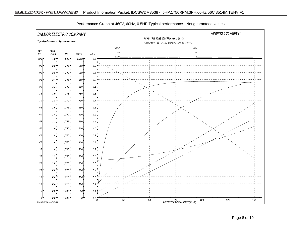

Performance Graph at 460V, 60Hz, 0.5HP Typical performance - Not guaranteed values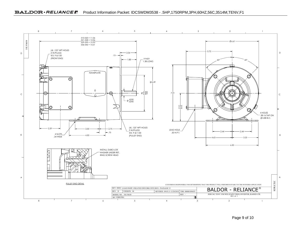